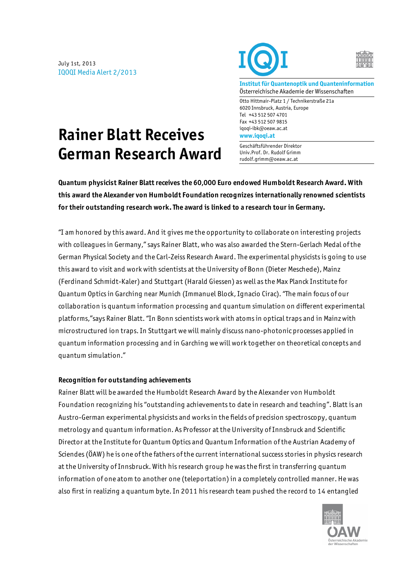July 1st, 2013 IQOQI Media Alert 2/2013





**Institut für Quantenoptik und Quanteninformation** Österreichische Akademie der Wissenschaften

Otto Hittmair-Platz 1 / Technikerstraße 21a 6020 Innsbruck, Austria, Europe Tel +43 512 507 4701 Fax +43 512 507 9815 iqoqi-ibk@oeaw.ac.at **www.iqoqi.at**

Geschäftsführender Direktor Univ.Prof. Dr. Rudolf Grimm rudolf.grimm@oeaw.ac.at

## **Rainer Blatt Receives German Research Award**

**Quantum physicist Rainer Blatt receives the 60,000 Euro endowed Humboldt Research Award. With this award the Alexander von Humboldt Foundation recognizes internationally renowned scientists for their outstanding research work. The award is linked to a research tour in Germany.**

"I am honored by this award. And it gives me the opportunity to collaborate on interesting projects with colleagues in Germany," says Rainer Blatt, who was also awarded the Stern-Gerlach Medal of the German Physical Society and the Carl-Zeiss Research Award. The experimental physicists is going to use this award to visit and work with scientists at the University of Bonn (Dieter Meschede), Mainz (Ferdinand Schmidt-Kaler) and Stuttgart (Harald Giessen) as well as the Max Planck Institute for Quantum Optics in Garching near Munich (Immanuel Block, Ignacio Cirac). "The main focus of our collaboration is quantum information processing and quantum simulation on different experimental platforms,"says Rainer Blatt. "In Bonn scientists work with atoms in optical traps and in Mainz with microstructured ion traps. In Stuttgart we will mainly discuss nano-photonic processes applied in quantum information processing and in Garching we will work together on theoretical concepts and quantum simulation."

## **Recognition for outstanding achievements**

Rainer Blatt will be awarded the Humboldt Research Award by the Alexander von Humboldt Foundation recognizing his "outstanding achievements to date in research and teaching". Blatt is an Austro-German experimental physicists and works in the fields of precision spectroscopy, quantum metrology and quantum information. As Professor at the University of Innsbruck and Scientific Director at the Institute for Quantum Optics and Quantum Information of the Austrian Academy of Sciendes (ÖAW) he is one of the fathers of the current international success stories in physics research at the University of Innsbruck. With his research group he was the first in transferring quantum information of one atom to another one (teleportation) in a completely controlled manner. He was also first in realizing a quantum byte. In 2011 his research team pushed the record to 14 entangled